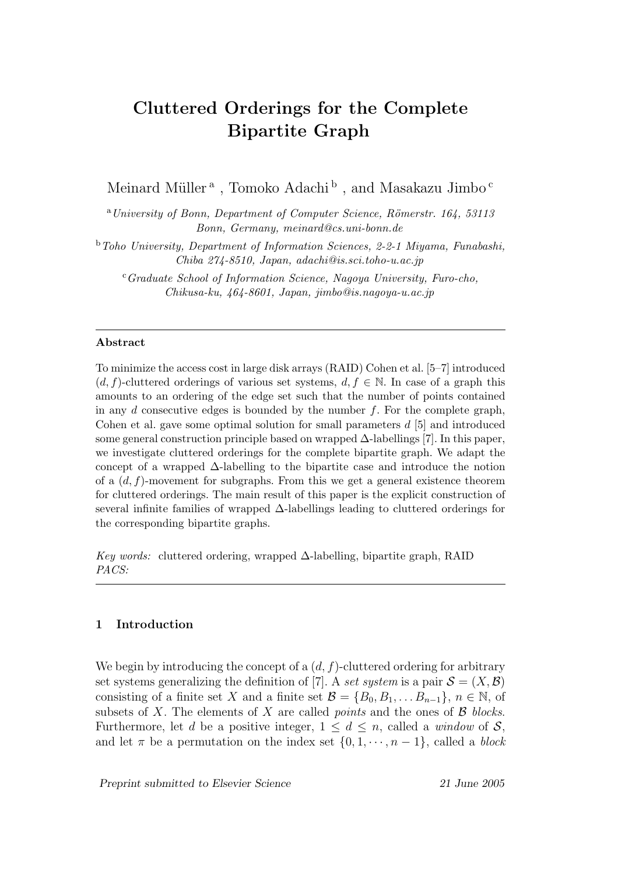# Cluttered Orderings for the Complete Bipartite Graph

Meinard Müller<br/>  $^{\rm a}$  , Tomoko Adachi $^{\rm b}$  , and Masakazu Jimbo.<br/>  $^{\rm c}$ 

<sup>a</sup>University of Bonn, Department of Computer Science, Römerstr. 164, 53113 Bonn, Germany, meinard@cs.uni-bonn.de

<sup>b</sup>Toho University, Department of Information Sciences, 2-2-1 Miyama, Funabashi, Chiba 274-8510, Japan, adachi@is.sci.toho-u.ac.jp

 $c$ Graduate School of Information Science, Nagoya University, Furo-cho, Chikusa-ku, 464-8601, Japan, jimbo@is.nagoya-u.ac.jp

#### Abstract

To minimize the access cost in large disk arrays (RAID) Cohen et al. [5–7] introduced  $(d, f)$ -cluttered orderings of various set systems,  $d, f \in \mathbb{N}$ . In case of a graph this amounts to an ordering of the edge set such that the number of points contained in any  $d$  consecutive edges is bounded by the number  $f$ . For the complete graph, Cohen et al. gave some optimal solution for small parameters d [5] and introduced some general construction principle based on wrapped  $\Delta$ -labellings [7]. In this paper, we investigate cluttered orderings for the complete bipartite graph. We adapt the concept of a wrapped ∆-labelling to the bipartite case and introduce the notion of a  $(d, f)$ -movement for subgraphs. From this we get a general existence theorem for cluttered orderings. The main result of this paper is the explicit construction of several infinite families of wrapped ∆-labellings leading to cluttered orderings for the corresponding bipartite graphs.

Key words: cluttered ordering, wrapped  $\Delta$ -labelling, bipartite graph, RAID PACS:

## 1 Introduction

We begin by introducing the concept of a  $(d, f)$ -cluttered ordering for arbitrary set systems generalizing the definition of [7]. A set system is a pair  $\mathcal{S} = (X, \mathcal{B})$ consisting of a finite set X and a finite set  $\mathcal{B} = \{B_0, B_1, \ldots B_{n-1}\}, n \in \mathbb{N}$ , of subsets of X. The elements of X are called *points* and the ones of  $\beta$  blocks. Furthermore, let d be a positive integer,  $1 \leq d \leq n$ , called a window of S, and let  $\pi$  be a permutation on the index set  $\{0, 1, \dots, n-1\}$ , called a *block* 

Preprint submitted to Elsevier Science 21 June 2005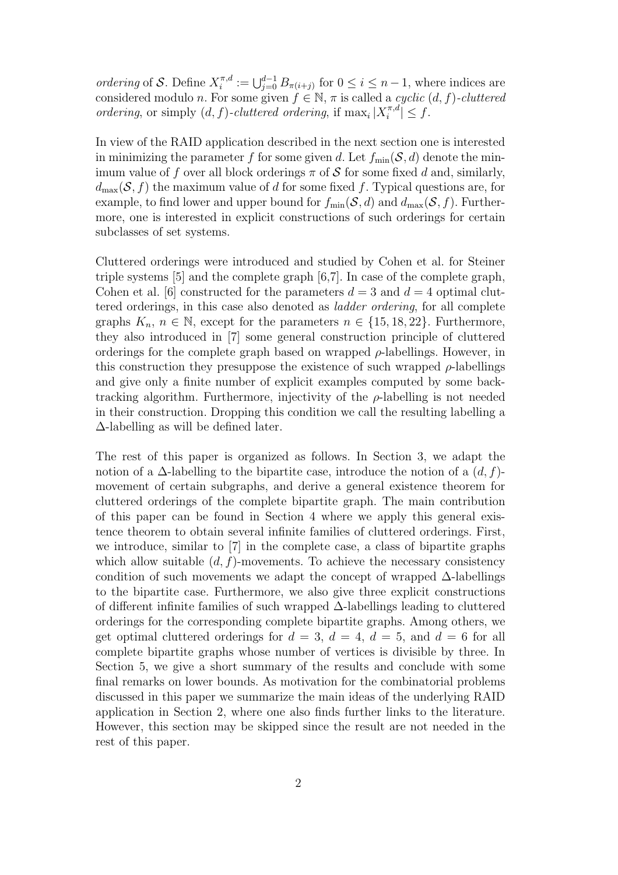ordering of S. Define  $X_i^{\pi,d}$  $\mathcal{I}_i^{\pi,d} := \bigcup_{j=0}^{d-1} B_{\pi(i+j)}$  for  $0 \leq i \leq n-1$ , where indices are considered modulo n. For some given  $f \in \mathbb{N}$ ,  $\pi$  is called a *cyclic*  $(d, f)$ -*cluttered* ordering, or simply  $(d, f)$ -cluttered ordering, if  $\max_i |X_i^{\pi,d}$  $\left| \tilde{a}^{\pi,a} \right| \leq f.$ 

In view of the RAID application described in the next section one is interested in minimizing the parameter f for some given d. Let  $f_{\min}(\mathcal{S}, d)$  denote the minimum value of f over all block orderings  $\pi$  of S for some fixed d and, similarly,  $d_{\text{max}}(\mathcal{S}, f)$  the maximum value of d for some fixed f. Typical questions are, for example, to find lower and upper bound for  $f_{\min}(\mathcal{S}, d)$  and  $d_{\max}(\mathcal{S}, f)$ . Furthermore, one is interested in explicit constructions of such orderings for certain subclasses of set systems.

Cluttered orderings were introduced and studied by Cohen et al. for Steiner triple systems [5] and the complete graph [6,7]. In case of the complete graph, Cohen et al. [6] constructed for the parameters  $d = 3$  and  $d = 4$  optimal cluttered orderings, in this case also denoted as ladder ordering, for all complete graphs  $K_n$ ,  $n \in \mathbb{N}$ , except for the parameters  $n \in \{15, 18, 22\}$ . Furthermore, they also introduced in [7] some general construction principle of cluttered orderings for the complete graph based on wrapped  $\rho$ -labellings. However, in this construction they presuppose the existence of such wrapped  $\rho$ -labellings and give only a finite number of explicit examples computed by some backtracking algorithm. Furthermore, injectivity of the  $\rho$ -labelling is not needed in their construction. Dropping this condition we call the resulting labelling a ∆-labelling as will be defined later.

The rest of this paper is organized as follows. In Section 3, we adapt the notion of a  $\Delta$ -labelling to the bipartite case, introduce the notion of a  $(d, f)$ movement of certain subgraphs, and derive a general existence theorem for cluttered orderings of the complete bipartite graph. The main contribution of this paper can be found in Section 4 where we apply this general existence theorem to obtain several infinite families of cluttered orderings. First, we introduce, similar to [7] in the complete case, a class of bipartite graphs which allow suitable  $(d, f)$ -movements. To achieve the necessary consistency condition of such movements we adapt the concept of wrapped  $\Delta$ -labellings to the bipartite case. Furthermore, we also give three explicit constructions of different infinite families of such wrapped ∆-labellings leading to cluttered orderings for the corresponding complete bipartite graphs. Among others, we get optimal cluttered orderings for  $d = 3$ ,  $d = 4$ ,  $d = 5$ , and  $d = 6$  for all complete bipartite graphs whose number of vertices is divisible by three. In Section 5, we give a short summary of the results and conclude with some final remarks on lower bounds. As motivation for the combinatorial problems discussed in this paper we summarize the main ideas of the underlying RAID application in Section 2, where one also finds further links to the literature. However, this section may be skipped since the result are not needed in the rest of this paper.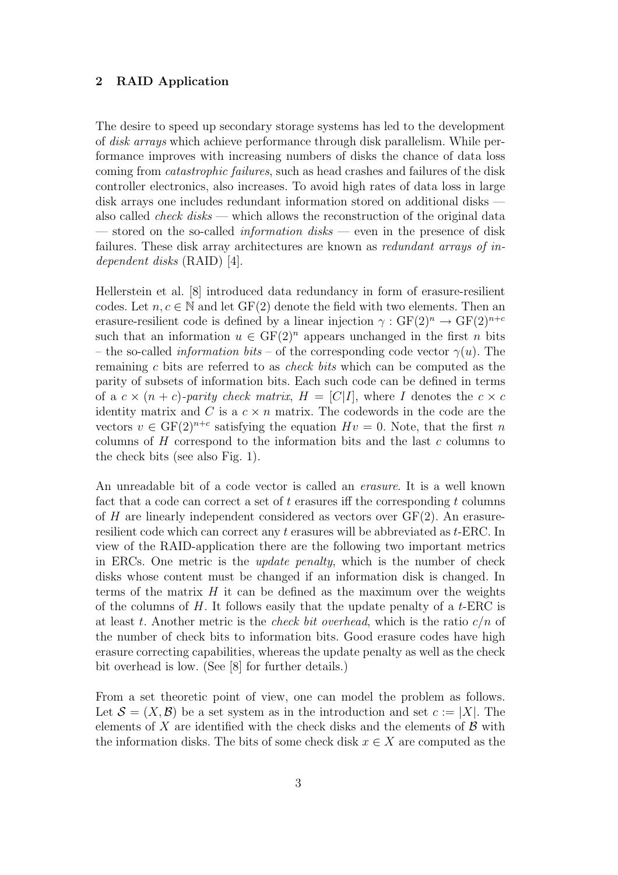## 2 RAID Application

The desire to speed up secondary storage systems has led to the development of disk arrays which achieve performance through disk parallelism. While performance improves with increasing numbers of disks the chance of data loss coming from catastrophic failures, such as head crashes and failures of the disk controller electronics, also increases. To avoid high rates of data loss in large disk arrays one includes redundant information stored on additional disks also called *check disks* — which allows the reconstruction of the original data — stored on the so-called *information disks* — even in the presence of disk failures. These disk array architectures are known as redundant arrays of independent disks (RAID) [4].

Hellerstein et al. [8] introduced data redundancy in form of erasure-resilient codes. Let  $n, c \in \mathbb{N}$  and let GF(2) denote the field with two elements. Then an erasure-resilient code is defined by a linear injection  $\gamma : GF(2)^n \to GF(2)^{n+c}$ such that an information  $u \in GF(2)^n$  appears unchanged in the first n bits – the so-called *information bits* – of the corresponding code vector  $\gamma(u)$ . The remaining c bits are referred to as check bits which can be computed as the parity of subsets of information bits. Each such code can be defined in terms of a  $c \times (n + c)$ -parity check matrix,  $H = [C|I]$ , where I denotes the  $c \times c$ identity matrix and C is a  $c \times n$  matrix. The codewords in the code are the vectors  $v \in \mathrm{GF}(2)^{n+c}$  satisfying the equation  $Hv = 0$ . Note, that the first n columns of  $H$  correspond to the information bits and the last  $c$  columns to the check bits (see also Fig. 1).

An unreadable bit of a code vector is called an erasure. It is a well known fact that a code can correct a set of  $t$  erasures iff the corresponding  $t$  columns of  $H$  are linearly independent considered as vectors over  $GF(2)$ . An erasureresilient code which can correct any t erasures will be abbreviated as t-ERC. In view of the RAID-application there are the following two important metrics in ERCs. One metric is the update penalty, which is the number of check disks whose content must be changed if an information disk is changed. In terms of the matrix  $H$  it can be defined as the maximum over the weights of the columns of  $H$ . It follows easily that the update penalty of a  $t$ -ERC is at least t. Another metric is the *check bit overhead*, which is the ratio  $c/n$  of the number of check bits to information bits. Good erasure codes have high erasure correcting capabilities, whereas the update penalty as well as the check bit overhead is low. (See [8] for further details.)

From a set theoretic point of view, one can model the problem as follows. Let  $\mathcal{S} = (X, \mathcal{B})$  be a set system as in the introduction and set  $c := |X|$ . The elements of X are identified with the check disks and the elements of  $\beta$  with the information disks. The bits of some check disk  $x \in X$  are computed as the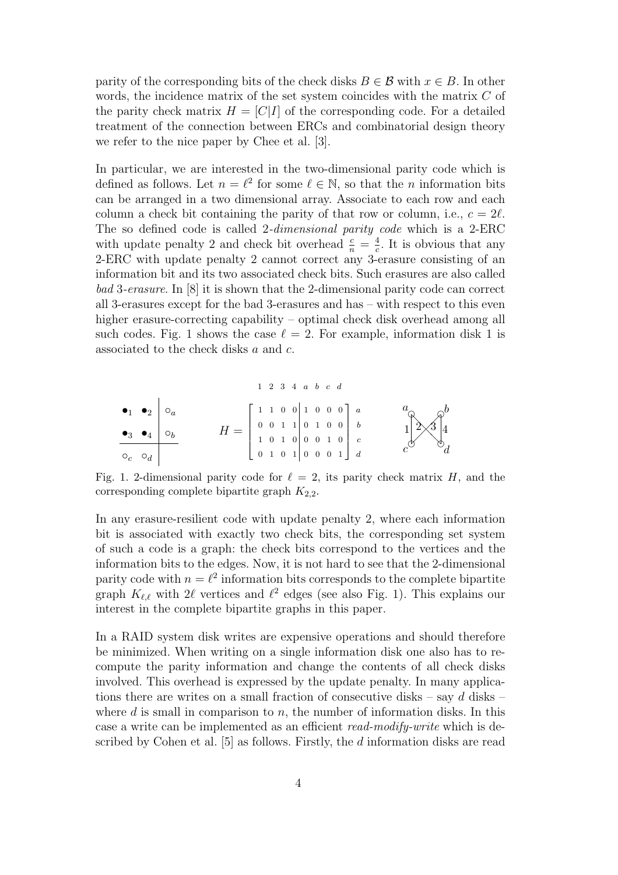parity of the corresponding bits of the check disks  $B \in \mathcal{B}$  with  $x \in B$ . In other words, the incidence matrix of the set system coincides with the matrix  $C$  of the parity check matrix  $H = [C|I]$  of the corresponding code. For a detailed treatment of the connection between ERCs and combinatorial design theory we refer to the nice paper by Chee et al. [3].

In particular, we are interested in the two-dimensional parity code which is defined as follows. Let  $n = \ell^2$  for some  $\ell \in \mathbb{N}$ , so that the *n* information bits can be arranged in a two dimensional array. Associate to each row and each column a check bit containing the parity of that row or column, i.e.,  $c = 2l$ . The so defined code is called 2-dimensional parity code which is a 2-ERC with update penalty 2 and check bit overhead  $\frac{c}{n} = \frac{4}{c}$  $\frac{4}{c}$ . It is obvious that any 2-ERC with update penalty 2 cannot correct any 3-erasure consisting of an information bit and its two associated check bits. Such erasures are also called bad 3-erasure. In [8] it is shown that the 2-dimensional parity code can correct all 3-erasures except for the bad 3-erasures and has – with respect to this even higher erasure-correcting capability – optimal check disk overhead among all such codes. Fig. 1 shows the case  $\ell = 2$ . For example, information disk 1 is associated to the check disks a and c.

1 2 3 4 a b c d •<sup>1</sup> •<sup>2</sup> ◦<sup>a</sup> •<sup>3</sup> •<sup>4</sup> ◦<sup>b</sup> ◦<sup>c</sup> ◦<sup>d</sup> H = 1 1 0 0 1 0 0 0 0 0 1 1 0 1 0 0 1 0 1 0 0 0 1 0 0 1 0 1 0 0 0 1 a b c d ❡ a ❡b ❡ c ❡ d 1 ❅ ❅ ❅ 2 3 4

Fig. 1. 2-dimensional parity code for  $\ell = 2$ , its parity check matrix H, and the corresponding complete bipartite graph  $K_{2,2}$ .

In any erasure-resilient code with update penalty 2, where each information bit is associated with exactly two check bits, the corresponding set system of such a code is a graph: the check bits correspond to the vertices and the information bits to the edges. Now, it is not hard to see that the 2-dimensional parity code with  $n = \ell^2$  information bits corresponds to the complete bipartite graph  $K_{\ell,\ell}$  with 2 $\ell$  vertices and  $\ell^2$  edges (see also Fig. 1). This explains our interest in the complete bipartite graphs in this paper.

In a RAID system disk writes are expensive operations and should therefore be minimized. When writing on a single information disk one also has to recompute the parity information and change the contents of all check disks involved. This overhead is expressed by the update penalty. In many applications there are writes on a small fraction of consecutive disks – say  $d$  disks – where  $d$  is small in comparison to  $n$ , the number of information disks. In this case a write can be implemented as an efficient read-modify-write which is described by Cohen et al. [5] as follows. Firstly, the d information disks are read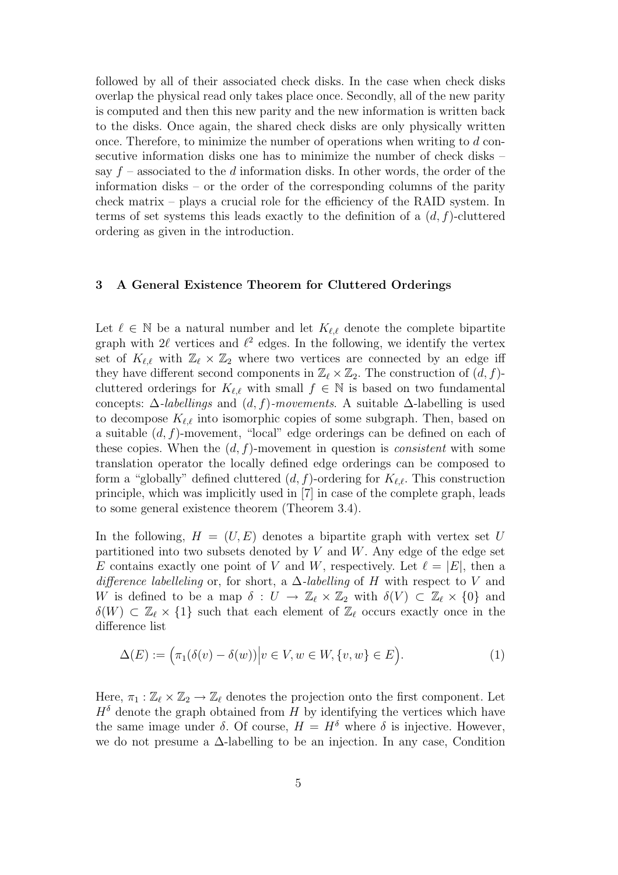followed by all of their associated check disks. In the case when check disks overlap the physical read only takes place once. Secondly, all of the new parity is computed and then this new parity and the new information is written back to the disks. Once again, the shared check disks are only physically written once. Therefore, to minimize the number of operations when writing to d consecutive information disks one has to minimize the number of check disks – say  $f$  – associated to the d information disks. In other words, the order of the information disks – or the order of the corresponding columns of the parity check matrix – plays a crucial role for the efficiency of the RAID system. In terms of set systems this leads exactly to the definition of a  $(d, f)$ -cluttered ordering as given in the introduction.

### 3 A General Existence Theorem for Cluttered Orderings

Let  $\ell \in \mathbb{N}$  be a natural number and let  $K_{\ell,\ell}$  denote the complete bipartite graph with  $2\ell$  vertices and  $\ell^2$  edges. In the following, we identify the vertex set of  $K_{\ell,\ell}$  with  $\mathbb{Z}_{\ell} \times \mathbb{Z}_2$  where two vertices are connected by an edge iff they have different second components in  $\mathbb{Z}_{\ell} \times \mathbb{Z}_2$ . The construction of  $(d, f)$ cluttered orderings for  $K_{\ell,\ell}$  with small  $f \in \mathbb{N}$  is based on two fundamental concepts:  $\Delta$ -labellings and  $(d, f)$ -movements. A suitable  $\Delta$ -labelling is used to decompose  $K_{\ell,\ell}$  into isomorphic copies of some subgraph. Then, based on a suitable  $(d, f)$ -movement, "local" edge orderings can be defined on each of these copies. When the  $(d, f)$ -movement in question is *consistent* with some translation operator the locally defined edge orderings can be composed to form a "globally" defined cluttered  $(d, f)$ -ordering for  $K_{\ell,\ell}$ . This construction principle, which was implicitly used in [7] in case of the complete graph, leads to some general existence theorem (Theorem 3.4).

In the following,  $H = (U, E)$  denotes a bipartite graph with vertex set U partitioned into two subsets denoted by  $V$  and  $W$ . Any edge of the edge set E contains exactly one point of V and W, respectively. Let  $\ell = |E|$ , then a difference labelleling or, for short, a  $\Delta$ -labelling of H with respect to V and W is defined to be a map  $\delta: U \to \mathbb{Z}_{\ell} \times \mathbb{Z}_2$  with  $\delta(V) \subset \mathbb{Z}_{\ell} \times \{0\}$  and  $\delta(W) \subset \mathbb{Z}_{\ell} \times \{1\}$  such that each element of  $\mathbb{Z}_{\ell}$  occurs exactly once in the difference list

$$
\Delta(E) := \left(\pi_1(\delta(v) - \delta(w))\middle| v \in V, w \in W, \{v, w\} \in E\right).
$$
\n(1)

Here,  $\pi_1 : \mathbb{Z}_{\ell} \times \mathbb{Z}_2 \to \mathbb{Z}_{\ell}$  denotes the projection onto the first component. Let  $H<sup>δ</sup>$  denote the graph obtained from H by identifying the vertices which have the same image under  $\delta$ . Of course,  $H = H^{\delta}$  where  $\delta$  is injective. However, we do not presume a ∆-labelling to be an injection. In any case, Condition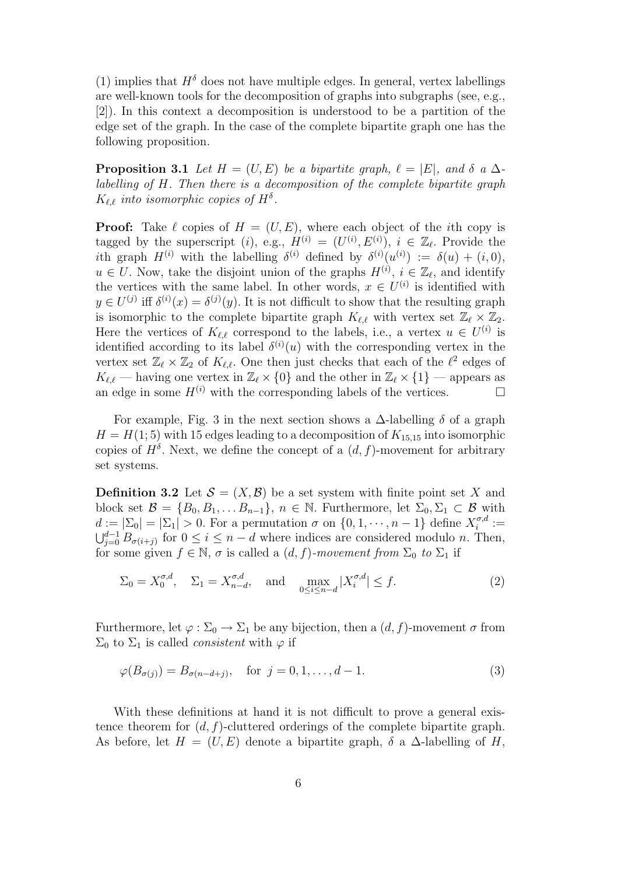(1) implies that  $H^{\delta}$  does not have multiple edges. In general, vertex labellings are well-known tools for the decomposition of graphs into subgraphs (see, e.g., [2]). In this context a decomposition is understood to be a partition of the edge set of the graph. In the case of the complete bipartite graph one has the following proposition.

**Proposition 3.1** Let  $H = (U, E)$  be a bipartite graph,  $\ell = |E|$ , and  $\delta$  a  $\Delta$ labelling of H. Then there is a decomposition of the complete bipartite graph  $K_{\ell,\ell}$  into isomorphic copies of  $H^{\delta}$ .

**Proof:** Take  $\ell$  copies of  $H = (U, E)$ , where each object of the *i*th copy is tagged by the superscript (*i*), e.g.,  $H^{(i)} = (U^{(i)}, E^{(i)})$ ,  $i \in \mathbb{Z}_{\ell}$ . Provide the ith graph  $H^{(i)}$  with the labelling  $\delta^{(i)}$  defined by  $\delta^{(i)}(u^{(i)}) := \delta(u) + (i, 0),$  $u \in U$ . Now, take the disjoint union of the graphs  $H^{(i)}$ ,  $i \in \mathbb{Z}_{\ell}$ , and identify the vertices with the same label. In other words,  $x \in U^{(i)}$  is identified with  $y \in U^{(j)}$  iff  $\delta^{(i)}(x) = \delta^{(j)}(y)$ . It is not difficult to show that the resulting graph is isomorphic to the complete bipartite graph  $K_{\ell,\ell}$  with vertex set  $\mathbb{Z}_{\ell} \times \mathbb{Z}_2$ . Here the vertices of  $K_{\ell,\ell}$  correspond to the labels, i.e., a vertex  $u \in U^{(i)}$  is identified according to its label  $\delta^{(i)}(u)$  with the corresponding vertex in the vertex set  $\mathbb{Z}_{\ell} \times \mathbb{Z}_2$  of  $K_{\ell,\ell}$ . One then just checks that each of the  $\ell^2$  edges of  $K_{\ell,\ell}$  — having one vertex in  $\mathbb{Z}_{\ell} \times \{0\}$  and the other in  $\mathbb{Z}_{\ell} \times \{1\}$  — appears as an edge in some  $H^{(i)}$  with the corresponding labels of the vertices. an edge in some  $H^{(i)}$  with the corresponding labels of the vertices.

For example, Fig. 3 in the next section shows a  $\Delta$ -labelling  $\delta$  of a graph  $H = H(1, 5)$  with 15 edges leading to a decomposition of  $K_{15,15}$  into isomorphic copies of  $H^{\delta}$ . Next, we define the concept of a  $(d, f)$ -movement for arbitrary set systems.

**Definition 3.2** Let  $\mathcal{S} = (X, \mathcal{B})$  be a set system with finite point set X and block set  $\mathcal{B} = \{B_0, B_1, \ldots B_{n-1}\}, n \in \mathbb{N}$ . Furthermore, let  $\Sigma_0, \Sigma_1 \subset \mathcal{B}$  with  $d := |\Sigma_0| = |\Sigma_1| > 0$ . For a permutation  $\sigma$  on  $\{0, 1, \dots, n-1\}$  define  $X_i^{\sigma, d}$  $i^{\sigma,a}:=$  $\bigcup_{j=0}^{d-1} B_{\sigma(i+j)}$  for  $0 \leq i \leq n-d$  where indices are considered modulo n. Then, for some given  $f \in \mathbb{N}$ ,  $\sigma$  is called a  $(d, f)$ -movement from  $\Sigma_0$  to  $\Sigma_1$  if

$$
\Sigma_0 = X_0^{\sigma,d}, \quad \Sigma_1 = X_{n-d}^{\sigma,d}, \quad \text{and} \quad \max_{0 \le i \le n-d} |X_i^{\sigma,d}| \le f. \tag{2}
$$

Furthermore, let  $\varphi : \Sigma_0 \to \Sigma_1$  be any bijection, then a  $(d, f)$ -movement  $\sigma$  from  $\Sigma_0$  to  $\Sigma_1$  is called *consistent* with  $\varphi$  if

$$
\varphi(B_{\sigma(j)}) = B_{\sigma(n-d+j)}, \text{ for } j = 0, 1, ..., d-1.
$$
\n(3)

With these definitions at hand it is not difficult to prove a general existence theorem for  $(d, f)$ -cluttered orderings of the complete bipartite graph. As before, let  $H = (U, E)$  denote a bipartite graph,  $\delta$  a  $\Delta$ -labelling of H,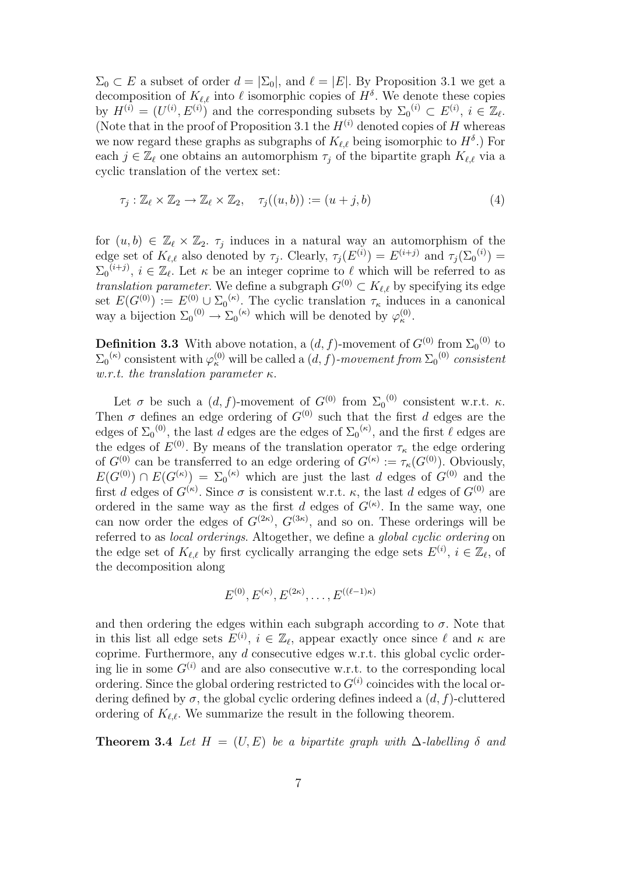$\Sigma_0 \subset E$  a subset of order  $d = |\Sigma_0|$ , and  $\ell = |E|$ . By Proposition 3.1 we get a decomposition of  $K_{\ell,\ell}$  into  $\ell$  isomorphic copies of  $H^{\delta}$ . We denote these copies by  $H^{(i)} = (U^{(i)}, E^{(i)})$  and the corresponding subsets by  $\Sigma_0^{(i)} \subset E^{(i)}, i \in \mathbb{Z}_{\ell}$ . (Note that in the proof of Proposition 3.1 the  $H^{(i)}$  denoted copies of H whereas we now regard these graphs as subgraphs of  $K_{\ell,\ell}$  being isomorphic to  $H^{\delta}$ .) For each  $j \in \mathbb{Z}_{\ell}$  one obtains an automorphism  $\tau_j$  of the bipartite graph  $K_{\ell,\ell}$  via a cyclic translation of the vertex set:

$$
\tau_j : \mathbb{Z}_{\ell} \times \mathbb{Z}_2 \to \mathbb{Z}_{\ell} \times \mathbb{Z}_2, \quad \tau_j((u, b)) := (u + j, b)
$$
\n
$$
\tag{4}
$$

for  $(u, b) \in \mathbb{Z}_{\ell} \times \mathbb{Z}_2$ .  $\tau_j$  induces in a natural way an automorphism of the edge set of  $K_{\ell,\ell}$  also denoted by  $\tau_j$ . Clearly,  $\tau_j(E^{(i)}) = E^{(i+j)}$  and  $\tau_j(\Sigma_0^{(i)}) =$  $\Sigma_0^{(i+j)}$ ,  $i \in \mathbb{Z}_\ell$ . Let  $\kappa$  be an integer coprime to  $\ell$  which will be referred to as translation parameter. We define a subgraph  $G^{(0)} \subset K_{\ell,\ell}$  by specifying its edge set  $E(G^{(0)}) := E^{(0)} \cup \Sigma_0^{(\kappa)}$ . The cyclic translation  $\tau_{\kappa}$  induces in a canonical way a bijection  $\Sigma_0^{(0)} \to \Sigma_0^{(\kappa)}$  which will be denoted by  $\varphi_{\kappa}^{(0)}$ .

**Definition 3.3** With above notation, a  $(d, f)$ -movement of  $G^{(0)}$  from  $\Sigma_0^{(0)}$  to  $\Sigma_0^{(\kappa)}$  consistent with  $\varphi_\kappa^{(0)}$  will be called a  $(d, f)$ -movement from  $\Sigma_0^{(0)}$  consistent w.r.t. the translation parameter  $\kappa$ .

Let  $\sigma$  be such a  $(d, f)$ -movement of  $G^{(0)}$  from  $\Sigma_0^{(0)}$  consistent w.r.t.  $\kappa$ . Then  $\sigma$  defines an edge ordering of  $G^{(0)}$  such that the first d edges are the edges of  $\Sigma_0^{(0)}$ , the last d edges are the edges of  $\Sigma_0^{(\kappa)}$ , and the first  $\ell$  edges are the edges of  $E^{(0)}$ . By means of the translation operator  $\tau_{\kappa}$  the edge ordering of  $G^{(0)}$  can be transferred to an edge ordering of  $G^{(\kappa)} := \tau_{\kappa}(G^{(0)})$ . Obviously,  $E(G^{(0)}) \cap E(G^{(\kappa)}) = \sum_0^{(\kappa)}$  which are just the last d edges of  $G^{(0)}$  and the first d edges of  $G^{(\kappa)}$ . Since  $\sigma$  is consistent w.r.t.  $\kappa$ , the last d edges of  $G^{(0)}$  are ordered in the same way as the first d edges of  $G^{(\kappa)}$ . In the same way, one can now order the edges of  $G^{(2\kappa)}$ ,  $G^{(3\kappa)}$ , and so on. These orderings will be referred to as local orderings. Altogether, we define a global cyclic ordering on the edge set of  $K_{\ell,\ell}$  by first cyclically arranging the edge sets  $E^{(i)}$ ,  $i \in \mathbb{Z}_{\ell}$ , of the decomposition along

$$
E^{(0)}, E^{(\kappa)}, E^{(2\kappa)}, \ldots, E^{((\ell-1)\kappa)}
$$

and then ordering the edges within each subgraph according to  $\sigma$ . Note that in this list all edge sets  $E^{(i)}$ ,  $i \in \mathbb{Z}_{\ell}$ , appear exactly once since  $\ell$  and  $\kappa$  are coprime. Furthermore, any d consecutive edges w.r.t. this global cyclic ordering lie in some  $G^{(i)}$  and are also consecutive w.r.t. to the corresponding local ordering. Since the global ordering restricted to  $G^{(i)}$  coincides with the local ordering defined by  $\sigma$ , the global cyclic ordering defines indeed a  $(d, f)$ -cluttered ordering of  $K_{\ell,\ell}$ . We summarize the result in the following theorem.

**Theorem 3.4** Let  $H = (U, E)$  be a bipartite graph with  $\Delta$ -labelling  $\delta$  and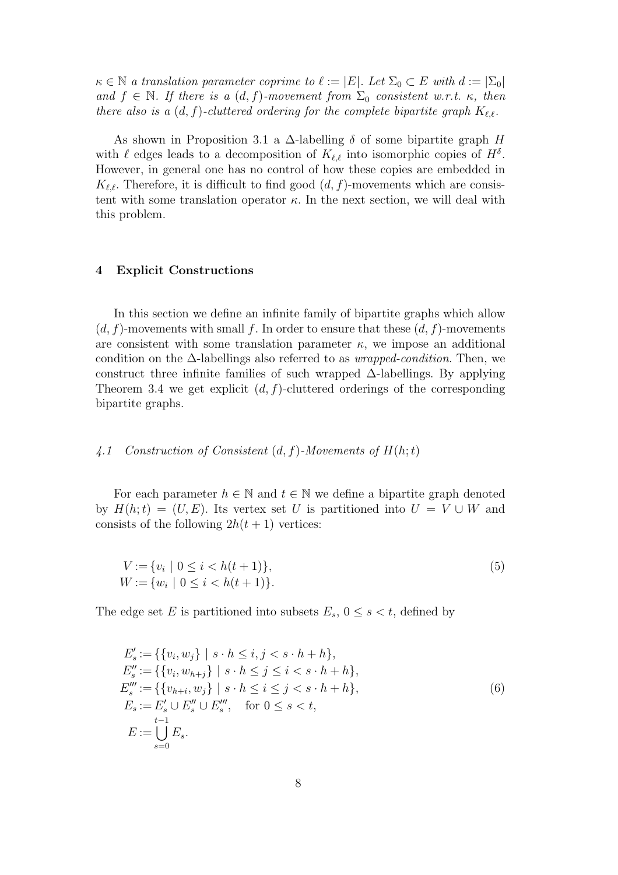$\kappa \in \mathbb{N}$  a translation parameter coprime to  $\ell := |E|$ . Let  $\Sigma_0 \subset E$  with  $d := |\Sigma_0|$ and  $f \in \mathbb{N}$ . If there is a  $(d, f)$ -movement from  $\Sigma_0$  consistent w.r.t.  $\kappa$ , then there also is a  $(d, f)$ -cluttered ordering for the complete bipartite graph  $K_{\ell,\ell}$ .

As shown in Proposition 3.1 a  $\Delta$ -labelling  $\delta$  of some bipartite graph H with  $\ell$  edges leads to a decomposition of  $K_{\ell,\ell}$  into isomorphic copies of  $H^{\delta}$ . However, in general one has no control of how these copies are embedded in  $K_{\ell,\ell}$ . Therefore, it is difficult to find good  $(d, f)$ -movements which are consistent with some translation operator  $\kappa$ . In the next section, we will deal with this problem.

## 4 Explicit Constructions

In this section we define an infinite family of bipartite graphs which allow  $(d, f)$ -movements with small f. In order to ensure that these  $(d, f)$ -movements are consistent with some translation parameter  $\kappa$ , we impose an additional condition on the  $\Delta$ -labellings also referred to as *wrapped-condition*. Then, we construct three infinite families of such wrapped  $\Delta$ -labellings. By applying Theorem 3.4 we get explicit  $(d, f)$ -cluttered orderings of the corresponding bipartite graphs.

## 4.1 Construction of Consistent  $(d, f)$ -Movements of  $H(h; t)$

For each parameter  $h \in \mathbb{N}$  and  $t \in \mathbb{N}$  we define a bipartite graph denoted by  $H(h;t) = (U, E)$ . Its vertex set U is partitioned into  $U = V \cup W$  and consists of the following  $2h(t+1)$  vertices:

$$
V := \{v_i \mid 0 \le i < h(t+1)\},
$$
\n
$$
W := \{w_i \mid 0 \le i < h(t+1)\}.
$$
\n
$$
(5)
$$

The edge set E is partitioned into subsets  $E_s$ ,  $0 \leq s \leq t$ , defined by

$$
E'_{s} := \{ \{v_{i}, w_{j}\} \mid s \cdot h \leq i, j < s \cdot h + h \},
$$
  
\n
$$
E''_{s} := \{ \{v_{i}, w_{h+j}\} \mid s \cdot h \leq j \leq i < s \cdot h + h \},
$$
  
\n
$$
E'''_{s} := \{ \{v_{h+i}, w_{j}\} \mid s \cdot h \leq i \leq j < s \cdot h + h \},
$$
  
\n
$$
E_{s} := E'_{s} \cup E''_{s} \cup E'''_{s}, \quad \text{for } 0 \leq s < t,
$$
  
\n
$$
E := \bigcup_{s=0}^{t-1} E_{s}.
$$
  
\n(6)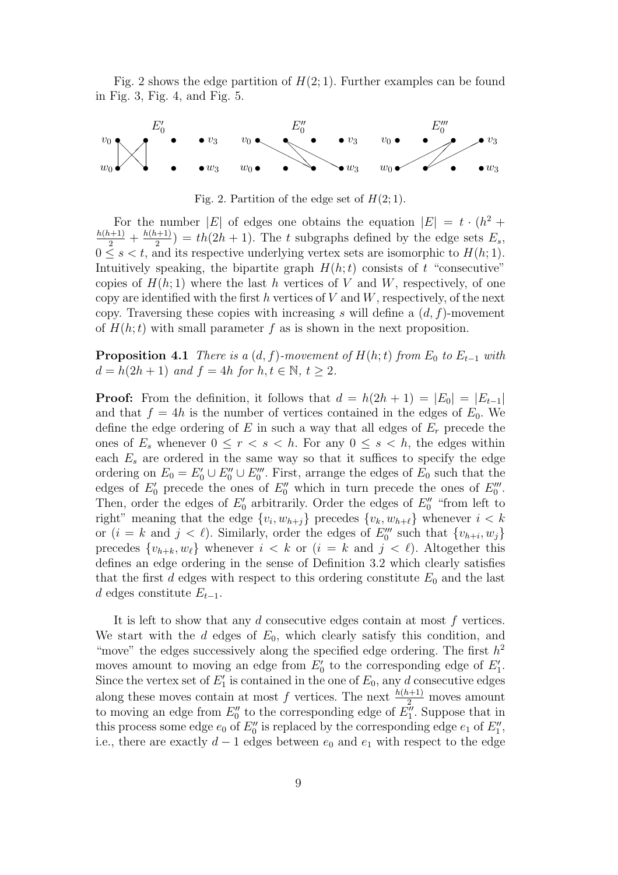Fig. 2 shows the edge partition of  $H(2, 1)$ . Further examples can be found in Fig. 3, Fig. 4, and Fig. 5.



Fig. 2. Partition of the edge set of  $H(2,1)$ .

For the number |E| of edges one obtains the equation  $|E| = t \cdot (h^2 +$  $\frac{h(h+1)}{2} + \frac{h(h+1)}{2}$  $\binom{n+1}{2}$  = th(2h + 1). The t subgraphs defined by the edge sets  $E_s$ ,  $0 \leq s < t$ , and its respective underlying vertex sets are isomorphic to  $H(h, 1)$ . Intuitively speaking, the bipartite graph  $H(h;t)$  consists of t "consecutive" copies of  $H(h; 1)$  where the last h vertices of V and W, respectively, of one copy are identified with the first  $h$  vertices of  $V$  and  $W$ , respectively, of the next copy. Traversing these copies with increasing s will define a  $(d, f)$ -movement of  $H(h; t)$  with small parameter f as is shown in the next proposition.

**Proposition 4.1** There is a  $(d, f)$ -movement of  $H(h; t)$  from  $E_0$  to  $E_{t-1}$  with  $d = h(2h + 1)$  and  $f = 4h$  for  $h, t \in \mathbb{N}, t \geq 2$ .

**Proof:** From the definition, it follows that  $d = h(2h + 1) = |E_0| = |E_{t-1}|$ and that  $f = 4h$  is the number of vertices contained in the edges of  $E_0$ . We define the edge ordering of  $E$  in such a way that all edges of  $E_r$  precede the ones of  $E_s$  whenever  $0 \leq r < s < h$ . For any  $0 \leq s < h$ , the edges within each  $E_s$  are ordered in the same way so that it suffices to specify the edge ordering on  $E_0 = E'_0 \cup E''_0 \cup E'''_0$ . First, arrange the edges of  $E_0$  such that the edges of  $E'_{0}$  precede the ones of  $E''_{0}$  which in turn precede the ones of  $E'''_{0}$ . Then, order the edges of  $E'_{0}$  arbitrarily. Order the edges of  $E''_{0}$  "from left to right" meaning that the edge  $\{v_i, w_{h+j}\}$  precedes  $\{v_k, w_{h+\ell}\}\$  whenever  $i < k$ or  $(i = k \text{ and } j < \ell)$ . Similarly, order the edges of  $E_0'''$  such that  $\{v_{h+i}, w_j\}$ precedes  $\{v_{h+k}, w_\ell\}$  whenever  $i < k$  or  $(i = k \text{ and } j < \ell)$ . Altogether this defines an edge ordering in the sense of Definition 3.2 which clearly satisfies that the first  $d$  edges with respect to this ordering constitute  $E_0$  and the last d edges constitute  $E_{t-1}$ .

It is left to show that any  $d$  consecutive edges contain at most  $f$  vertices. We start with the d edges of  $E_0$ , which clearly satisfy this condition, and "move" the edges successively along the specified edge ordering. The first  $h^2$ moves amount to moving an edge from  $E'_0$  to the corresponding edge of  $E'_1$ . Since the vertex set of  $E'_1$  is contained in the one of  $E_0$ , any d consecutive edges along these moves contain at most f vertices. The next  $\frac{h(h+1)}{2}$  moves amount to moving an edge from  $E_0''$  to the corresponding edge of  $E_1''$ . Suppose that in this process some edge  $e_0$  of  $E_0''$  is replaced by the corresponding edge  $e_1$  of  $E_1''$ , i.e., there are exactly  $d-1$  edges between  $e_0$  and  $e_1$  with respect to the edge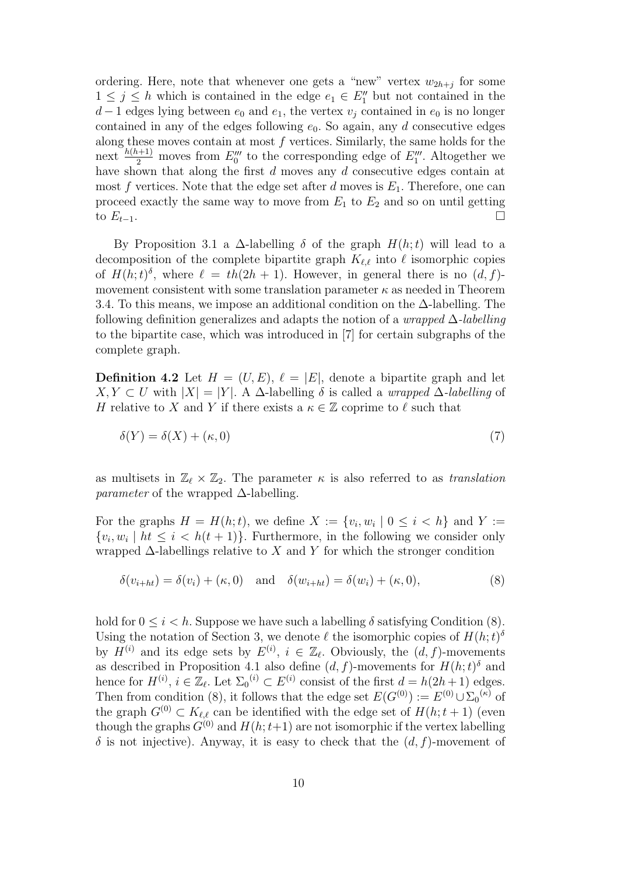ordering. Here, note that whenever one gets a "new" vertex  $w_{2h+j}$  for some  $1 \leq j \leq h$  which is contained in the edge  $e_1 \in E''_1$  but not contained in the  $d-1$  edges lying between  $e_0$  and  $e_1$ , the vertex  $v_j$  contained in  $e_0$  is no longer contained in any of the edges following  $e_0$ . So again, any d consecutive edges along these moves contain at most  $f$  vertices. Similarly, the same holds for the next  $\frac{h(h+1)}{2}$  moves from  $E_0'''$  to the corresponding edge of  $E_1'''$ . Altogether we have shown that along the first d moves any d consecutive edges contain at most f vertices. Note that the edge set after d moves is  $E_1$ . Therefore, one can proceed exactly the same way to move from  $E_1$  to  $E_2$  and so on until getting to  $E_{t-1}$ .

By Proposition 3.1 a  $\Delta$ -labelling  $\delta$  of the graph  $H(h;t)$  will lead to a decomposition of the complete bipartite graph  $K_{\ell,\ell}$  into  $\ell$  isomorphic copies of  $H(h;t)^{\delta}$ , where  $\ell = th(2h + 1)$ . However, in general there is no  $(d, f)$ movement consistent with some translation parameter  $\kappa$  as needed in Theorem 3.4. To this means, we impose an additional condition on the ∆-labelling. The following definition generalizes and adapts the notion of a *wrapped*  $\Delta$ -labelling to the bipartite case, which was introduced in [7] for certain subgraphs of the complete graph.

**Definition 4.2** Let  $H = (U, E)$ ,  $\ell = |E|$ , denote a bipartite graph and let  $X, Y \subset U$  with  $|X| = |Y|$ . A ∆-labelling δ is called a *wrapped*  $\Delta$ -*labelling* of H relative to X and Y if there exists a  $\kappa \in \mathbb{Z}$  coprime to  $\ell$  such that

$$
\delta(Y) = \delta(X) + (\kappa, 0) \tag{7}
$$

as multisets in  $\mathbb{Z}_\ell \times \mathbb{Z}_2$ . The parameter  $\kappa$  is also referred to as translation *parameter* of the wrapped  $\Delta$ -labelling.

For the graphs  $H = H(h; t)$ , we define  $X := \{v_i, w_i \mid 0 \leq i \leq h\}$  and  $Y :=$  $\{v_i, w_i \mid ht \leq i < h(t+1)\}.$  Furthermore, in the following we consider only wrapped  $\Delta$ -labellings relative to X and Y for which the stronger condition

$$
\delta(v_{i+ht}) = \delta(v_i) + (\kappa, 0) \quad \text{and} \quad \delta(w_{i+ht}) = \delta(w_i) + (\kappa, 0), \tag{8}
$$

hold for  $0 \leq i < h$ . Suppose we have such a labelling  $\delta$  satisfying Condition (8). Using the notation of Section 3, we denote  $\ell$  the isomorphic copies of  $H(h; t)$ <sup>8</sup> by  $H^{(i)}$  and its edge sets by  $E^{(i)}$ ,  $i \in \mathbb{Z}_{\ell}$ . Obviously, the  $(d, f)$ -movements as described in Proposition 4.1 also define  $(d, f)$ -movements for  $H(h; t)$ <sup> $\delta$ </sup> and hence for  $H^{(i)}$ ,  $i \in \mathbb{Z}_{\ell}$ . Let  $\Sigma_0^{(i)} \subset E^{(i)}$  consist of the first  $d = h(2h+1)$  edges. Then from condition (8), it follows that the edge set  $E(G^{(0)}) := E^{(0)} \cup \sum_{0}^{k} (f(x))$ the graph  $G^{(0)} \subset K_{\ell,\ell}$  can be identified with the edge set of  $H(h; t+1)$  (even though the graphs  $G^{(0)}$  and  $H(h; t+1)$  are not isomorphic if the vertex labelling  $\delta$  is not injective). Anyway, it is easy to check that the  $(d, f)$ -movement of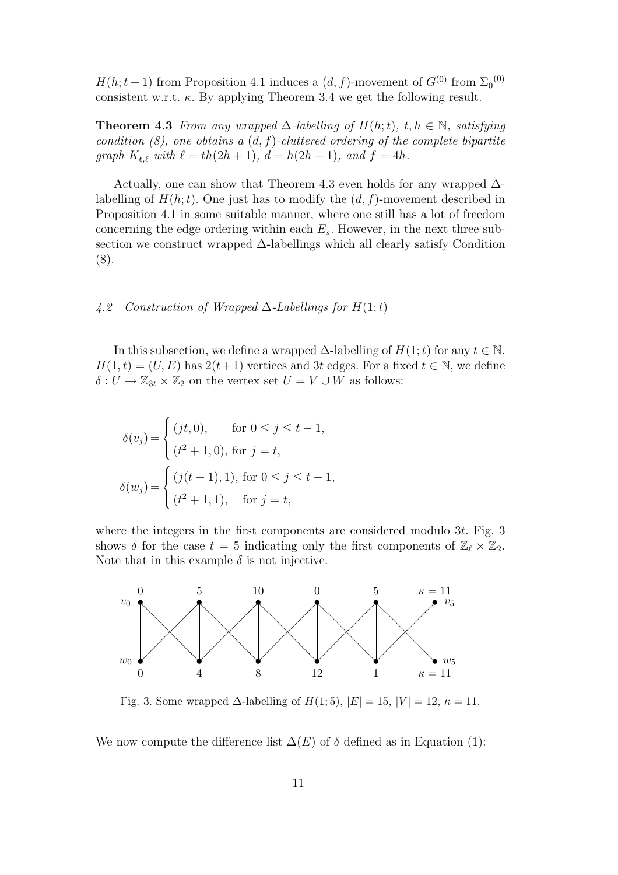$H(h; t+1)$  from Proposition 4.1 induces a  $(d, f)$ -movement of  $G^{(0)}$  from  $\Sigma_0^{(0)}$ consistent w.r.t.  $\kappa$ . By applying Theorem 3.4 we get the following result.

**Theorem 4.3** From any wrapped  $\Delta$ -labelling of  $H(h;t)$ ,  $t, h \in \mathbb{N}$ , satisfying condition  $(8)$ , one obtains a  $(d, f)$ -cluttered ordering of the complete bipartite graph  $K_{\ell,\ell}$  with  $\ell = th(2h + 1)$ ,  $d = h(2h + 1)$ , and  $f = 4h$ .

Actually, one can show that Theorem 4.3 even holds for any wrapped  $\Delta$ labelling of  $H(h; t)$ . One just has to modify the  $(d, f)$ -movement described in Proposition 4.1 in some suitable manner, where one still has a lot of freedom concerning the edge ordering within each  $E_s$ . However, in the next three subsection we construct wrapped ∆-labellings which all clearly satisfy Condition (8).

## 4.2 Construction of Wrapped  $\Delta$ -Labellings for  $H(1;t)$

In this subsection, we define a wrapped  $\Delta$ -labelling of  $H(1;t)$  for any  $t \in \mathbb{N}$ .  $H(1, t) = (U, E)$  has  $2(t+1)$  vertices and 3t edges. For a fixed  $t \in \mathbb{N}$ , we define  $\delta: U \to \mathbb{Z}_{3t} \times \mathbb{Z}_2$  on the vertex set  $U = V \cup W$  as follows:

$$
\delta(v_j) = \begin{cases}\n(jt, 0), & \text{for } 0 \le j \le t - 1, \\
(t^2 + 1, 0), & \text{for } j = t,\n\end{cases}
$$
\n
$$
\delta(w_j) = \begin{cases}\n(j(t - 1), 1), & \text{for } 0 \le j \le t - 1, \\
(t^2 + 1, 1), & \text{for } j = t,\n\end{cases}
$$

where the integers in the first components are considered modulo 3t. Fig. 3 shows  $\delta$  for the case  $t = 5$  indicating only the first components of  $\mathbb{Z}_{\ell} \times \mathbb{Z}_2$ . Note that in this example  $\delta$  is not injective.



Fig. 3. Some wrapped  $\Delta$ -labelling of  $H(1; 5)$ ,  $|E| = 15$ ,  $|V| = 12$ ,  $\kappa = 11$ .

We now compute the difference list  $\Delta(E)$  of  $\delta$  defined as in Equation (1):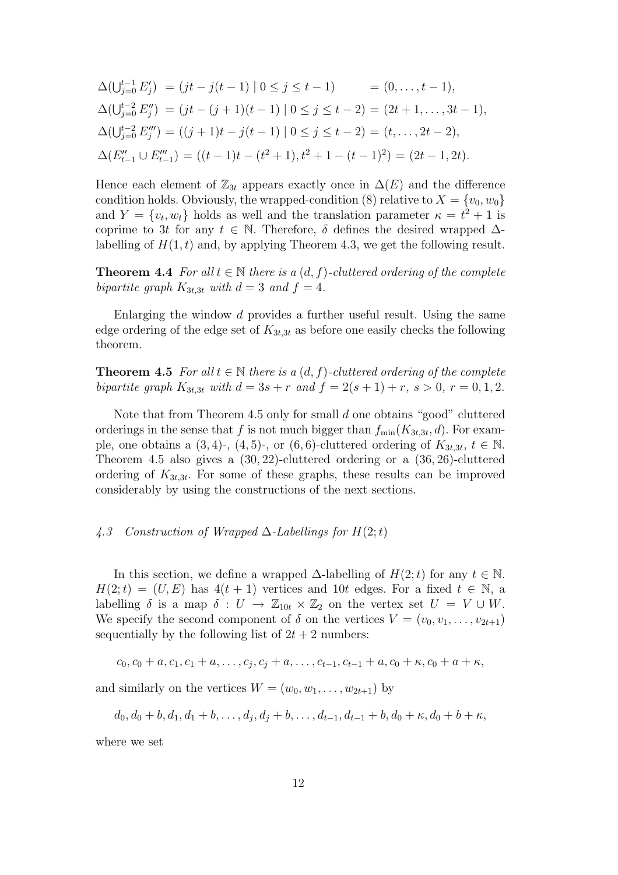$$
\Delta(\bigcup_{j=0}^{t-1} E'_j) = (jt - j(t-1) \mid 0 \le j \le t-1) = (0, \dots, t-1),
$$
  
\n
$$
\Delta(\bigcup_{j=0}^{t-2} E''_j) = (jt - (j+1)(t-1) \mid 0 \le j \le t-2) = (2t+1, \dots, 3t-1),
$$
  
\n
$$
\Delta(\bigcup_{j=0}^{t-2} E'''_j) = ((j+1)t - j(t-1) \mid 0 \le j \le t-2) = (t, \dots, 2t-2),
$$
  
\n
$$
\Delta(E''_{t-1} \cup E'''_{t-1}) = ((t-1)t - (t^2+1), t^2+1 - (t-1)^2) = (2t-1, 2t).
$$

Hence each element of  $\mathbb{Z}_{3t}$  appears exactly once in  $\Delta(E)$  and the difference condition holds. Obviously, the wrapped-condition (8) relative to  $X = \{v_0, w_0\}$ and  $Y = \{v_t, w_t\}$  holds as well and the translation parameter  $\kappa = t^2 + 1$  is coprime to 3t for any  $t \in \mathbb{N}$ . Therefore,  $\delta$  defines the desired wrapped  $\Delta$ labelling of  $H(1,t)$  and, by applying Theorem 4.3, we get the following result.

**Theorem 4.4** For all  $t \in \mathbb{N}$  there is a  $(d, f)$ -cluttered ordering of the complete bipartite graph  $K_{3t,3t}$  with  $d=3$  and  $f=4$ .

Enlarging the window d provides a further useful result. Using the same edge ordering of the edge set of  $K_{3t,3t}$  as before one easily checks the following theorem.

**Theorem 4.5** For all  $t \in \mathbb{N}$  there is a  $(d, f)$ -cluttered ordering of the complete bipartite graph  $K_{3t,3t}$  with  $d = 3s + r$  and  $f = 2(s + 1) + r$ ,  $s > 0$ ,  $r = 0, 1, 2$ .

Note that from Theorem 4.5 only for small d one obtains "good" cluttered orderings in the sense that f is not much bigger than  $f_{\min}(K_{3t,3t}, d)$ . For example, one obtains a  $(3, 4)$ -,  $(4, 5)$ -, or  $(6, 6)$ -cluttered ordering of  $K_{3t,3t}, t \in \mathbb{N}$ . Theorem 4.5 also gives a (30, 22)-cluttered ordering or a (36, 26)-cluttered ordering of  $K_{3t,3t}$ . For some of these graphs, these results can be improved considerably by using the constructions of the next sections.

### 4.3 Construction of Wrapped  $\Delta$ -Labellings for  $H(2;t)$

In this section, we define a wrapped  $\Delta$ -labelling of  $H(2;t)$  for any  $t \in \mathbb{N}$ .  $H(2;t) = (U, E)$  has  $4(t + 1)$  vertices and 10t edges. For a fixed  $t \in \mathbb{N}$ , a labelling  $\delta$  is a map  $\delta: U \to \mathbb{Z}_{10t} \times \mathbb{Z}_2$  on the vertex set  $U = V \cup W$ . We specify the second component of  $\delta$  on the vertices  $V = (v_0, v_1, \ldots, v_{2t+1})$ sequentially by the following list of  $2t + 2$  numbers:

$$
c_0, c_0 + a, c_1, c_1 + a, \ldots, c_j, c_j + a, \ldots, c_{t-1}, c_{t-1} + a, c_0 + \kappa, c_0 + a + \kappa,
$$

and similarly on the vertices  $W = (w_0, w_1, \ldots, w_{2t+1})$  by

$$
d_0, d_0 + b, d_1, d_1 + b, \ldots, d_j, d_j + b, \ldots, d_{t-1}, d_{t-1} + b, d_0 + \kappa, d_0 + b + \kappa,
$$

where we set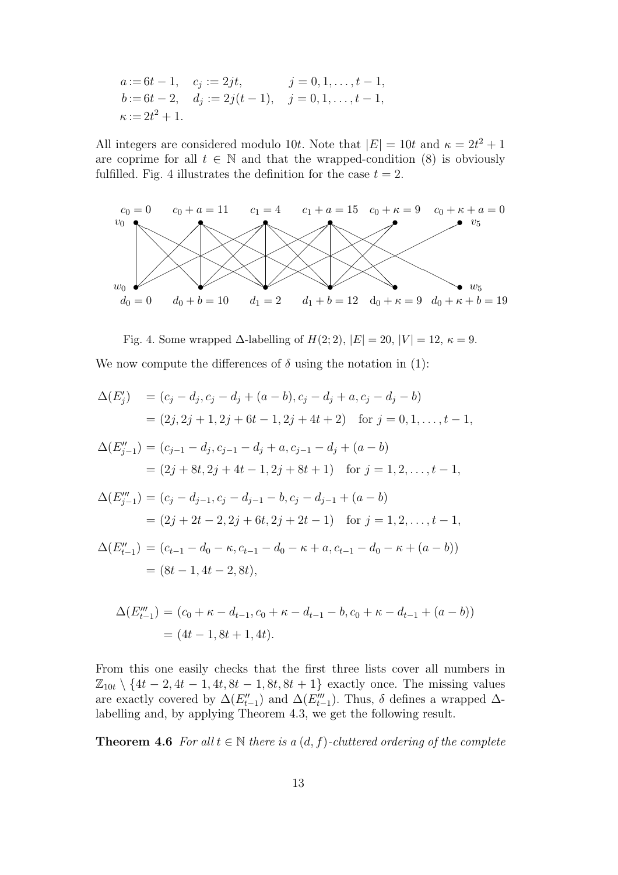$$
a := 6t - 1, \quad c_j := 2jt, \quad j = 0, 1, \dots, t - 1, \nb := 6t - 2, \quad d_j := 2j(t - 1), \quad j = 0, 1, \dots, t - 1, \n\kappa := 2t^2 + 1.
$$

All integers are considered modulo 10t. Note that  $|E| = 10t$  and  $\kappa = 2t^2 + 1$ are coprime for all  $t \in \mathbb{N}$  and that the wrapped-condition (8) is obviously fulfilled. Fig. 4 illustrates the definition for the case  $t = 2$ .



Fig. 4. Some wrapped  $\Delta$ -labelling of  $H(2; 2)$ ,  $|E| = 20$ ,  $|V| = 12$ ,  $\kappa = 9$ .

We now compute the differences of  $\delta$  using the notation in (1):

$$
\Delta(E'_j) = (c_j - d_j, c_j - d_j + (a - b), c_j - d_j + a, c_j - d_j - b)
$$
  
\n
$$
= (2j, 2j + 1, 2j + 6t - 1, 2j + 4t + 2) \text{ for } j = 0, 1, ..., t - 1,
$$
  
\n
$$
\Delta(E''_{j-1}) = (c_{j-1} - d_j, c_{j-1} - d_j + a, c_{j-1} - d_j + (a - b))
$$
  
\n
$$
= (2j + 8t, 2j + 4t - 1, 2j + 8t + 1) \text{ for } j = 1, 2, ..., t - 1,
$$
  
\n
$$
\Delta(E''_{j-1}) = (c_j - d_{j-1}, c_j - d_{j-1} - b, c_j - d_{j-1} + (a - b))
$$
  
\n
$$
= (2j + 2t - 2, 2j + 6t, 2j + 2t - 1) \text{ for } j = 1, 2, ..., t - 1,
$$
  
\n
$$
\Delta(E''_{t-1}) = (c_{t-1} - d_0 - \kappa, c_{t-1} - d_0 - \kappa + a, c_{t-1} - d_0 - \kappa + (a - b))
$$
  
\n
$$
= (8t - 1, 4t - 2, 8t),
$$

$$
\Delta(E_{t-1}''') = (c_0 + \kappa - d_{t-1}, c_0 + \kappa - d_{t-1} - b, c_0 + \kappa - d_{t-1} + (a - b))
$$
  
= (4t - 1, 8t + 1, 4t).

From this one easily checks that the first three lists cover all numbers in  $\mathbb{Z}_{10t} \setminus \{4t-2, 4t-1, 4t, 8t-1, 8t, 8t+1\}$  exactly once. The missing values are exactly covered by  $\Delta(E''_{t-1})$  and  $\Delta(E'''_{t-1})$ . Thus,  $\delta$  defines a wrapped  $\Delta$ labelling and, by applying Theorem 4.3, we get the following result.

**Theorem 4.6** For all  $t \in \mathbb{N}$  there is a  $(d, f)$ -cluttered ordering of the complete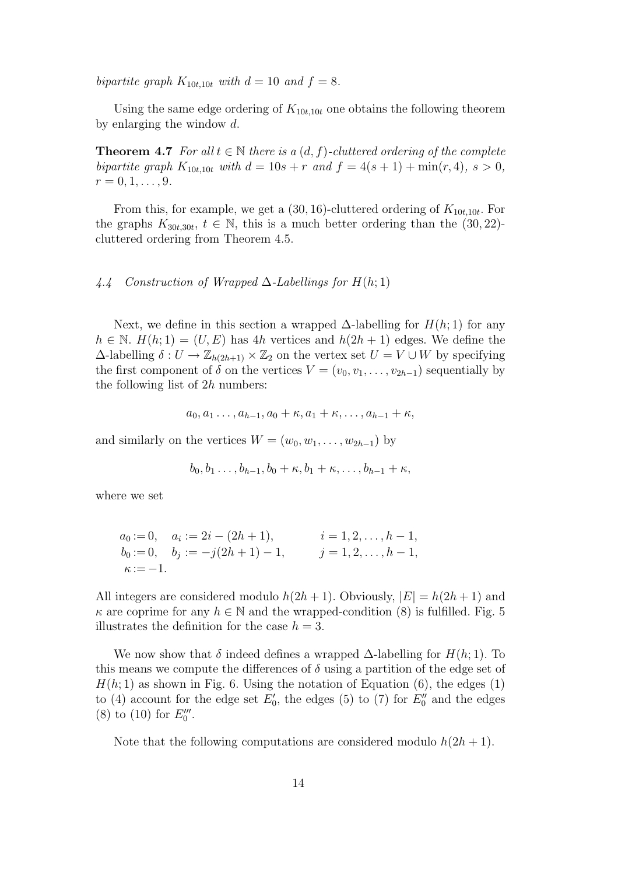bipartite graph  $K_{10t,10t}$  with  $d = 10$  and  $f = 8$ .

Using the same edge ordering of  $K_{10t,10t}$  one obtains the following theorem by enlarging the window d.

**Theorem 4.7** For all  $t \in \mathbb{N}$  there is a  $(d, f)$ -cluttered ordering of the complete bipartite graph  $K_{10t,10t}$  with  $d = 10s + r$  and  $f = 4(s + 1) + \min(r, 4)$ ,  $s > 0$ ,  $r = 0, 1, \ldots, 9$ .

From this, for example, we get a  $(30, 16)$ -cluttered ordering of  $K_{10t, 10t}$ . For the graphs  $K_{30t,30t}$ ,  $t \in \mathbb{N}$ , this is a much better ordering than the (30, 22)cluttered ordering from Theorem 4.5.

### 4.4 Construction of Wrapped  $\Delta$ -Labellings for  $H(h; 1)$

Next, we define in this section a wrapped  $\Delta$ -labelling for  $H(h; 1)$  for any  $h \in \mathbb{N}$ .  $H(h; 1) = (U, E)$  has 4h vertices and  $h(2h + 1)$  edges. We define the  $\Delta$ -labelling  $\delta: U \to \mathbb{Z}_{h(2h+1)} \times \mathbb{Z}_2$  on the vertex set  $U = V \cup W$  by specifying the first component of  $\delta$  on the vertices  $V = (v_0, v_1, \ldots, v_{2h-1})$  sequentially by the following list of  $2h$  numbers:

$$
a_0, a_1 \ldots, a_{h-1}, a_0 + \kappa, a_1 + \kappa, \ldots, a_{h-1} + \kappa,
$$

and similarly on the vertices  $W = (w_0, w_1, \ldots, w_{2h-1})$  by

$$
b_0, b_1 \ldots, b_{h-1}, b_0 + \kappa, b_1 + \kappa, \ldots, b_{h-1} + \kappa,
$$

where we set

$$
a_0 := 0, \quad a_i := 2i - (2h + 1), \quad i = 1, 2, \dots, h - 1, \n b_0 := 0, \quad b_j := -j(2h + 1) - 1, \quad j = 1, 2, \dots, h - 1, \n \kappa := -1.
$$

All integers are considered modulo  $h(2h + 1)$ . Obviously,  $|E| = h(2h + 1)$  and  $\kappa$  are coprime for any  $h \in \mathbb{N}$  and the wrapped-condition (8) is fulfilled. Fig. 5 illustrates the definition for the case  $h = 3$ .

We now show that  $\delta$  indeed defines a wrapped  $\Delta$ -labelling for  $H(h; 1)$ . To this means we compute the differences of  $\delta$  using a partition of the edge set of  $H(h; 1)$  as shown in Fig. 6. Using the notation of Equation (6), the edges (1) to (4) account for the edge set  $E'_0$ , the edges (5) to (7) for  $E''_0$  and the edges (8) to (10) for  $E_0'''$ .

Note that the following computations are considered modulo  $h(2h + 1)$ .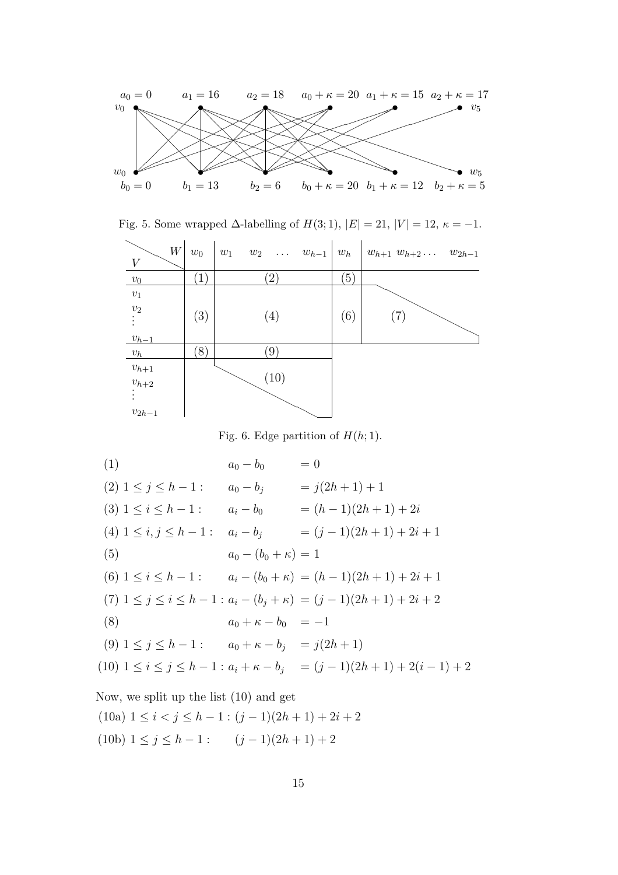

Fig. 5. Some wrapped  $\Delta$ -labelling of  $H(3; 1)$ ,  $|E| = 21$ ,  $|V| = 12$ ,  $\kappa = -1$ .

| $\ensuremath{W}$<br>V  | $w_0$         | $w_1$ $w_2$ $\ldots$ $w_{h-1}$ $w_h$ |                  | $w_{h+1} w_{h+2} \ldots w_{2h-1}$ |
|------------------------|---------------|--------------------------------------|------------------|-----------------------------------|
| $v_0$                  | $\mathbf{1}$  | $\overline{2}$                       | $\left(5\right)$ |                                   |
| $v_1$                  |               |                                      |                  |                                   |
| $\upsilon_2$           | (3)           | (4)                                  | (6)              | (7)                               |
| $v_{h-1}$              |               |                                      |                  |                                   |
| $v_h$                  | $\mathcal{S}$ | 9                                    |                  |                                   |
| $\boldsymbol{v}_{h+1}$ |               |                                      |                  |                                   |
| $v_{h+2}$              |               | (10)                                 |                  |                                   |
|                        |               |                                      |                  |                                   |
| $v_{2h-1}$             |               |                                      |                  |                                   |

Fig. 6. Edge partition of  $H(h; 1)$ .

(1)  $a_0 - b_0 = 0$ (2)  $1 \leq j \leq h-1$ :  $a_0 - b_i = j(2h+1) + 1$ (3)  $1 \le i \le h-1$ :  $a_i - b_0 = (h-1)(2h+1) + 2i$ (4)  $1 \le i, j \le h - 1$ :  $a_i - b_j = (j - 1)(2h + 1) + 2i + 1$ (5)  $a_0 - (b_0 + \kappa) = 1$ (6)  $1 \leq i \leq h-1$ :  $a_i - (b_0 + \kappa) = (h-1)(2h+1) + 2i + 1$ (7)  $1 \leq j \leq i \leq h-1: a_i - (b_i + \kappa) = (j-1)(2h+1) + 2i + 2$ (8)  $a_0 + \kappa - b_0 = -1$ (9)  $1 \le j \le h-1$ :  $a_0 + \kappa - b_j = j(2h+1)$ (10)  $1 \leq i \leq j \leq h-1$ :  $a_i + \kappa - b_j = (j-1)(2h+1) + 2(i-1) + 2$ Now, we split up the list (10) and get

(10a)  $1 \leq i < j \leq h-1$ :  $(j-1)(2h+1)+2i+2$ (10b)  $1 \leq j \leq h - 1$ :  $(j - 1)(2h + 1) + 2$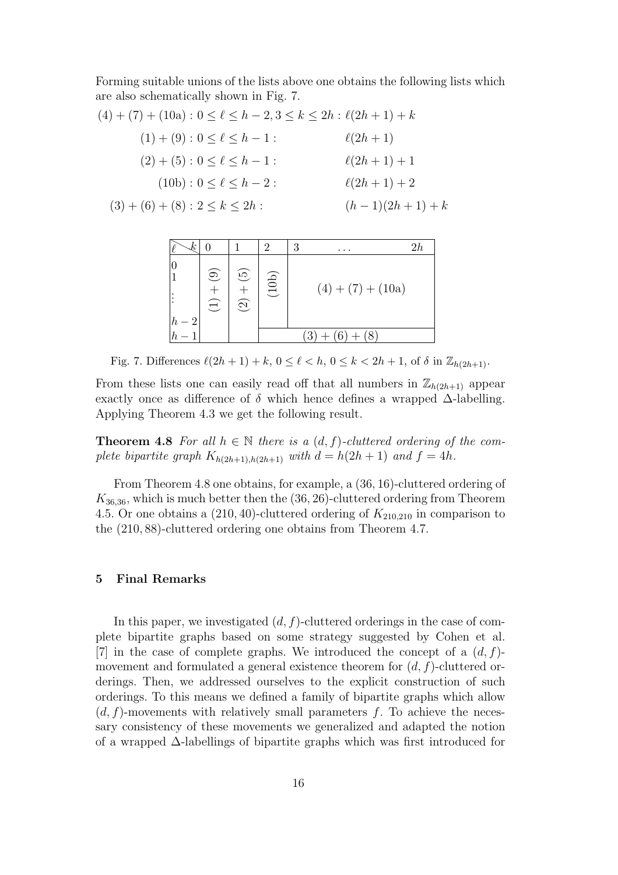Forming suitable unions of the lists above one obtains the following lists which are also schematically shown in Fig. 7.

$$
(4) + (7) + (10a) : 0 \le \ell \le h - 2, 3 \le k \le 2h : \ell(2h + 1) + k
$$
  
\n
$$
(1) + (9) : 0 \le \ell \le h - 1 : \qquad \ell(2h + 1)
$$
  
\n
$$
(2) + (5) : 0 \le \ell \le h - 1 : \qquad \ell(2h + 1) + 1
$$
  
\n
$$
(10b) : 0 \le \ell \le h - 2 : \qquad \ell(2h + 1) + 2
$$
  
\n
$$
(3) + (6) + (8) : 2 \le k \le 2h : \qquad (h - 1)(2h + 1) + k
$$

|            |                        |                                                  | $\mathcal{D}_{\mathcal{L}}$               | 3 | $\cdots$            | 2h |  |
|------------|------------------------|--------------------------------------------------|-------------------------------------------|---|---------------------|----|--|
| $\epsilon$ | $\odot$<br>$\bigoplus$ | $\widetilde{\mathfrak{G}}$<br>$\widehat{\Omega}$ | (10b)                                     |   | $(4) + (7) + (10a)$ |    |  |
|            |                        |                                                  | $\mathcal{L}$<br>$'$ $\mathcal{R}$ .<br>3 |   |                     |    |  |

Fig. 7. Differences  $\ell(2h+1)+k, 0 \leq \ell < h, 0 \leq k < 2h+1$ , of  $\delta$  in  $\mathbb{Z}_{h(2h+1)}$ .

From these lists one can easily read off that all numbers in  $\mathbb{Z}_{h(2h+1)}$  appear exactly once as difference of  $\delta$  which hence defines a wrapped  $\Delta$ -labelling. Applying Theorem 4.3 we get the following result.

**Theorem 4.8** For all  $h \in \mathbb{N}$  there is a  $(d, f)$ -cluttered ordering of the complete bipartite graph  $K_{h(2h+1),h(2h+1)}$  with  $d = h(2h+1)$  and  $f = 4h$ .

From Theorem 4.8 one obtains, for example, a (36, 16)-cluttered ordering of  $K_{36,36}$ , which is much better then the  $(36, 26)$ -cluttered ordering from Theorem 4.5. Or one obtains a  $(210, 40)$ -cluttered ordering of  $K_{210,210}$  in comparison to the (210, 88)-cluttered ordering one obtains from Theorem 4.7.

## 5 Final Remarks

In this paper, we investigated  $(d, f)$ -cluttered orderings in the case of complete bipartite graphs based on some strategy suggested by Cohen et al. [7] in the case of complete graphs. We introduced the concept of a  $(d, f)$ movement and formulated a general existence theorem for  $(d, f)$ -cluttered orderings. Then, we addressed ourselves to the explicit construction of such orderings. To this means we defined a family of bipartite graphs which allow  $(d, f)$ -movements with relatively small parameters f. To achieve the necessary consistency of these movements we generalized and adapted the notion of a wrapped ∆-labellings of bipartite graphs which was first introduced for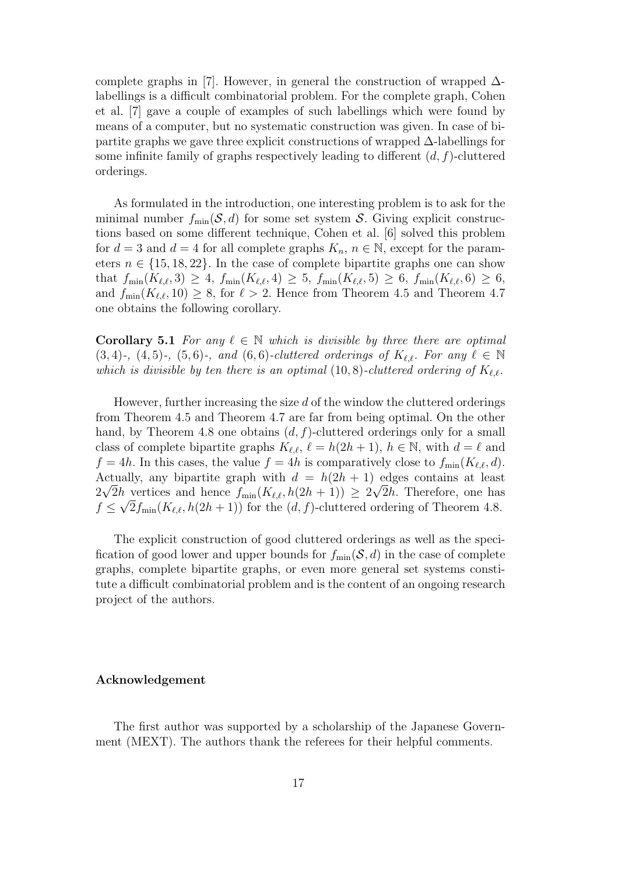complete graphs in [7]. However, in general the construction of wrapped  $\Delta$ labellings is a difficult combinatorial problem. For the complete graph, Cohen et al. [7] gave a couple of examples of such labellings which were found by means of a computer, but no systematic construction was given. In case of bipartite graphs we gave three explicit constructions of wrapped ∆-labellings for some infinite family of graphs respectively leading to different  $(d, f)$ -cluttered orderings.

As formulated in the introduction, one interesting problem is to ask for the minimal number  $f_{\min}(\mathcal{S}, d)$  for some set system S. Giving explicit constructions based on some different technique, Cohen et al. [6] solved this problem for  $d = 3$  and  $d = 4$  for all complete graphs  $K_n$ ,  $n \in \mathbb{N}$ , except for the parameters  $n \in \{15, 18, 22\}$ . In the case of complete bipartite graphs one can show that  $f_{\min}(K_{\ell,\ell},3) \geq 4$ ,  $f_{\min}(K_{\ell,\ell},4) \geq 5$ ,  $f_{\min}(K_{\ell,\ell},5) \geq 6$ ,  $f_{\min}(K_{\ell,\ell},6) \geq 6$ , and  $f_{\text{min}}(K_{\ell,\ell}, 10) \geq 8$ , for  $\ell > 2$ . Hence from Theorem 4.5 and Theorem 4.7 one obtains the following corollary.

**Corollary 5.1** For any  $\ell \in \mathbb{N}$  which is divisible by three there are optimal  $(3, 4)$ -,  $(4, 5)$ -,  $(5, 6)$ -, and  $(6, 6)$ -cluttered orderings of  $K_{\ell, \ell}$ . For any  $\ell \in \mathbb{N}$ which is divisible by ten there is an optimal  $(10, 8)$ -cluttered ordering of  $K_{\ell,\ell}$ .

However, further increasing the size  $d$  of the window the cluttered orderings from Theorem 4.5 and Theorem 4.7 are far from being optimal. On the other hand, by Theorem 4.8 one obtains  $(d, f)$ -cluttered orderings only for a small class of complete bipartite graphs  $K_{\ell,\ell}$ ,  $\ell = h(2h+1)$ ,  $h \in \mathbb{N}$ , with  $d = \ell$  and  $f = 4h$ . In this cases, the value  $f = 4h$  is comparatively close to  $f_{\min}(K_{\ell,\ell}, d)$ . Actually, any bipartite graph with  $d = h(2h + 1)$  edges contains at least  $2\sqrt{2}h$  vertices and hence  $f_{\min}(K_{\ell,\ell},h(2h+1)) \geq 2\sqrt{2}h$ . Therefore, one has  $f \leq \sqrt{2} f_{\min}(K_{\ell,\ell},h(2h+1))$  for the  $(d, f)$ -cluttered ordering of Theorem 4.8.

The explicit construction of good cluttered orderings as well as the specification of good lower and upper bounds for  $f_{\min}(\mathcal{S}, d)$  in the case of complete graphs, complete bipartite graphs, or even more general set systems constitute a difficult combinatorial problem and is the content of an ongoing research project of the authors.

#### Acknowledgement

The first author was supported by a scholarship of the Japanese Government (MEXT). The authors thank the referees for their helpful comments.